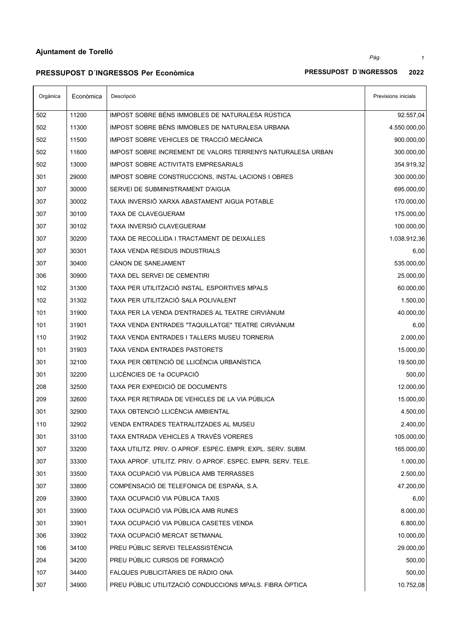$\overline{a}$ 

**PRESSUPOST D´INGRESSOS Per Econòmica PRESSUPOST D´INGRESSOS 2022**

 $\overline{\phantom{a}}$ 

# $\overline{\phantom{a}}$

| IMPOST SOBRE BÉNS IMMOBLES DE NATURALESA RÚSTICA<br>502<br>11200<br>IMPOST SOBRE BÉNS IMMOBLES DE NATURALESA URBANA<br>502<br>11300<br>IMPOST SOBRE VEHICLES DE TRACCIÓ MECÀNICA<br>502<br>11500<br>502<br>11600<br>IMPOST SOBRE INCREMENT DE VALORS TERRENYS NATURALESA URBAN<br>300.000,00<br>502<br>13000<br><b>IMPOST SOBRE ACTIVITATS EMPRESARIALS</b><br>354.919,32<br>300.000,00<br>301<br>29000<br>IMPOST SOBRE CONSTRUCCIONS, INSTAL LACIONS I OBRES<br>307<br>30000<br>SERVEI DE SUBMINISTRAMENT D'AIGUA<br>695.000,00<br>TAXA INVERSIÓ XARXA ABASTAMENT AIGUA POTABLE<br>307<br>30002<br>175.000,00<br>307<br>30100<br>TAXA DE CLAVEGUERAM<br>307<br>TAXA INVERSIÓ CLAVEGUERAM<br>30102<br>307<br>30200<br>TAXA DE RECOLLIDA I TRACTAMENT DE DEIXALLES<br>307<br>30301<br>TAXA VENDA RESIDUS INDUSTRIALS<br>6,00<br>CÀNON DE SANEJAMENT<br>535.000,00<br>307<br>30400<br>306<br>30900<br>TAXA DEL SERVEI DE CEMENTIRI<br>25.000,00<br>102<br>TAXA PER UTILITZACIÓ INSTAL. ESPORTIVES MPALS<br>60.000,00<br>31300<br>TAXA PER UTILITZACIÓ SALA POLIVALENT<br>102<br>31302<br>1.500,00<br>101<br>31900<br>TAXA PER LA VENDA D'ENTRADES AL TEATRE CIRVIÁNUM<br>40.000,00<br>TAXA VENDA ENTRADES "TAQUILLATGE" TEATRE CIRVIÀNUM<br>101<br>31901<br>6,00<br>110<br>31902<br>TAXA VENDA ENTRADES I TALLERS MUSEU TORNERIA<br>2.000,00<br>101<br>31903<br>TAXA VENDA ENTRADES PASTORETS<br>15.000,00<br>301<br>TAXA PER OBTENCIÓ DE LLICÈNCIA URBANÍSTICA<br>32100<br>19.500,00<br>301<br>LLICÈNCIES DE 1a OCUPACIÓ<br>32200<br>500,00<br>TAXA PER EXPEDICIÓ DE DOCUMENTS<br>208<br>32500<br>209<br>32600<br>TAXA PER RETIRADA DE VEHICLES DE LA VIA PÚBLICA<br>15.000,00<br>TAXA OBTENCIÓ LLICÈNCIA AMBIENTAL<br>301<br>4.500,00<br>32900<br>110<br>32902<br>VENDA ENTRADES TEATRALITZADES AL MUSEU<br>2.400,00<br>301<br>TAXA ENTRADA VEHICLES A TRAVÉS VORERES<br>33100<br>TAXA UTILITZ, PRIV, O APROF, ESPEC, EMPR, EXPL, SERV, SUBM,<br>307<br>33200<br>307<br>33300<br>TAXA APROF. UTILITZ. PRIV. O APROF. ESPEC. EMPR. SERV. TELE.<br>TAXA OCUPACIÓ VIA PÚBLICA AMB TERRASSES<br>301<br>33500<br>COMPENSACIÓ DE TELEFONICA DE ESPAÑA, S.A.<br>307<br>33800<br>TAXA OCUPACIÓ VIA PÚBLICA TAXIS<br>209<br>33900<br>6,00<br>TAXA OCUPACIÓ VIA PÚBLICA AMB RUNES<br>301<br>8.000,00<br>33900<br>TAXA OCUPACIÓ VIA PÚBLICA CASETES VENDA<br>301<br>6.800,00<br>33901<br>TAXA OCUPACIÓ MERCAT SETMANAL<br>10.000,00<br>306<br>33902<br>PREU PÚBLIC SERVEI TELEASSISTÈNCIA<br>106<br>34100<br>29.000,00<br>PREU PÚBLIC CURSOS DE FORMACIÓ<br>204<br>34200<br>FALQUES PUBLICITÀRIES DE RÀDIO ONA<br>107<br>34400<br>500,00<br>PREU PÚBLIC UTILITZACIÓ CONDUCCIONS MPALS. FIBRA ÒPTICA<br>307<br>34900<br>10.752,08 | Orgànica | Econòmica | Descripció | Previsions inicials |
|-----------------------------------------------------------------------------------------------------------------------------------------------------------------------------------------------------------------------------------------------------------------------------------------------------------------------------------------------------------------------------------------------------------------------------------------------------------------------------------------------------------------------------------------------------------------------------------------------------------------------------------------------------------------------------------------------------------------------------------------------------------------------------------------------------------------------------------------------------------------------------------------------------------------------------------------------------------------------------------------------------------------------------------------------------------------------------------------------------------------------------------------------------------------------------------------------------------------------------------------------------------------------------------------------------------------------------------------------------------------------------------------------------------------------------------------------------------------------------------------------------------------------------------------------------------------------------------------------------------------------------------------------------------------------------------------------------------------------------------------------------------------------------------------------------------------------------------------------------------------------------------------------------------------------------------------------------------------------------------------------------------------------------------------------------------------------------------------------------------------------------------------------------------------------------------------------------------------------------------------------------------------------------------------------------------------------------------------------------------------------------------------------------------------------------------------------------------------------------------------------------------------------------------------------------------------------------------------------------------------------------------------------------------------------------------------------------------------------|----------|-----------|------------|---------------------|
|                                                                                                                                                                                                                                                                                                                                                                                                                                                                                                                                                                                                                                                                                                                                                                                                                                                                                                                                                                                                                                                                                                                                                                                                                                                                                                                                                                                                                                                                                                                                                                                                                                                                                                                                                                                                                                                                                                                                                                                                                                                                                                                                                                                                                                                                                                                                                                                                                                                                                                                                                                                                                                                                                                                       |          |           |            | 92.557,04           |
|                                                                                                                                                                                                                                                                                                                                                                                                                                                                                                                                                                                                                                                                                                                                                                                                                                                                                                                                                                                                                                                                                                                                                                                                                                                                                                                                                                                                                                                                                                                                                                                                                                                                                                                                                                                                                                                                                                                                                                                                                                                                                                                                                                                                                                                                                                                                                                                                                                                                                                                                                                                                                                                                                                                       |          |           |            | 4.550.000,00        |
|                                                                                                                                                                                                                                                                                                                                                                                                                                                                                                                                                                                                                                                                                                                                                                                                                                                                                                                                                                                                                                                                                                                                                                                                                                                                                                                                                                                                                                                                                                                                                                                                                                                                                                                                                                                                                                                                                                                                                                                                                                                                                                                                                                                                                                                                                                                                                                                                                                                                                                                                                                                                                                                                                                                       |          |           |            | 900.000,00          |
|                                                                                                                                                                                                                                                                                                                                                                                                                                                                                                                                                                                                                                                                                                                                                                                                                                                                                                                                                                                                                                                                                                                                                                                                                                                                                                                                                                                                                                                                                                                                                                                                                                                                                                                                                                                                                                                                                                                                                                                                                                                                                                                                                                                                                                                                                                                                                                                                                                                                                                                                                                                                                                                                                                                       |          |           |            |                     |
|                                                                                                                                                                                                                                                                                                                                                                                                                                                                                                                                                                                                                                                                                                                                                                                                                                                                                                                                                                                                                                                                                                                                                                                                                                                                                                                                                                                                                                                                                                                                                                                                                                                                                                                                                                                                                                                                                                                                                                                                                                                                                                                                                                                                                                                                                                                                                                                                                                                                                                                                                                                                                                                                                                                       |          |           |            |                     |
|                                                                                                                                                                                                                                                                                                                                                                                                                                                                                                                                                                                                                                                                                                                                                                                                                                                                                                                                                                                                                                                                                                                                                                                                                                                                                                                                                                                                                                                                                                                                                                                                                                                                                                                                                                                                                                                                                                                                                                                                                                                                                                                                                                                                                                                                                                                                                                                                                                                                                                                                                                                                                                                                                                                       |          |           |            |                     |
|                                                                                                                                                                                                                                                                                                                                                                                                                                                                                                                                                                                                                                                                                                                                                                                                                                                                                                                                                                                                                                                                                                                                                                                                                                                                                                                                                                                                                                                                                                                                                                                                                                                                                                                                                                                                                                                                                                                                                                                                                                                                                                                                                                                                                                                                                                                                                                                                                                                                                                                                                                                                                                                                                                                       |          |           |            |                     |
|                                                                                                                                                                                                                                                                                                                                                                                                                                                                                                                                                                                                                                                                                                                                                                                                                                                                                                                                                                                                                                                                                                                                                                                                                                                                                                                                                                                                                                                                                                                                                                                                                                                                                                                                                                                                                                                                                                                                                                                                                                                                                                                                                                                                                                                                                                                                                                                                                                                                                                                                                                                                                                                                                                                       |          |           |            | 170.000,00          |
|                                                                                                                                                                                                                                                                                                                                                                                                                                                                                                                                                                                                                                                                                                                                                                                                                                                                                                                                                                                                                                                                                                                                                                                                                                                                                                                                                                                                                                                                                                                                                                                                                                                                                                                                                                                                                                                                                                                                                                                                                                                                                                                                                                                                                                                                                                                                                                                                                                                                                                                                                                                                                                                                                                                       |          |           |            |                     |
|                                                                                                                                                                                                                                                                                                                                                                                                                                                                                                                                                                                                                                                                                                                                                                                                                                                                                                                                                                                                                                                                                                                                                                                                                                                                                                                                                                                                                                                                                                                                                                                                                                                                                                                                                                                                                                                                                                                                                                                                                                                                                                                                                                                                                                                                                                                                                                                                                                                                                                                                                                                                                                                                                                                       |          |           |            | 100.000,00          |
|                                                                                                                                                                                                                                                                                                                                                                                                                                                                                                                                                                                                                                                                                                                                                                                                                                                                                                                                                                                                                                                                                                                                                                                                                                                                                                                                                                                                                                                                                                                                                                                                                                                                                                                                                                                                                                                                                                                                                                                                                                                                                                                                                                                                                                                                                                                                                                                                                                                                                                                                                                                                                                                                                                                       |          |           |            | 1.038.912,36        |
|                                                                                                                                                                                                                                                                                                                                                                                                                                                                                                                                                                                                                                                                                                                                                                                                                                                                                                                                                                                                                                                                                                                                                                                                                                                                                                                                                                                                                                                                                                                                                                                                                                                                                                                                                                                                                                                                                                                                                                                                                                                                                                                                                                                                                                                                                                                                                                                                                                                                                                                                                                                                                                                                                                                       |          |           |            |                     |
|                                                                                                                                                                                                                                                                                                                                                                                                                                                                                                                                                                                                                                                                                                                                                                                                                                                                                                                                                                                                                                                                                                                                                                                                                                                                                                                                                                                                                                                                                                                                                                                                                                                                                                                                                                                                                                                                                                                                                                                                                                                                                                                                                                                                                                                                                                                                                                                                                                                                                                                                                                                                                                                                                                                       |          |           |            |                     |
|                                                                                                                                                                                                                                                                                                                                                                                                                                                                                                                                                                                                                                                                                                                                                                                                                                                                                                                                                                                                                                                                                                                                                                                                                                                                                                                                                                                                                                                                                                                                                                                                                                                                                                                                                                                                                                                                                                                                                                                                                                                                                                                                                                                                                                                                                                                                                                                                                                                                                                                                                                                                                                                                                                                       |          |           |            |                     |
|                                                                                                                                                                                                                                                                                                                                                                                                                                                                                                                                                                                                                                                                                                                                                                                                                                                                                                                                                                                                                                                                                                                                                                                                                                                                                                                                                                                                                                                                                                                                                                                                                                                                                                                                                                                                                                                                                                                                                                                                                                                                                                                                                                                                                                                                                                                                                                                                                                                                                                                                                                                                                                                                                                                       |          |           |            |                     |
|                                                                                                                                                                                                                                                                                                                                                                                                                                                                                                                                                                                                                                                                                                                                                                                                                                                                                                                                                                                                                                                                                                                                                                                                                                                                                                                                                                                                                                                                                                                                                                                                                                                                                                                                                                                                                                                                                                                                                                                                                                                                                                                                                                                                                                                                                                                                                                                                                                                                                                                                                                                                                                                                                                                       |          |           |            |                     |
|                                                                                                                                                                                                                                                                                                                                                                                                                                                                                                                                                                                                                                                                                                                                                                                                                                                                                                                                                                                                                                                                                                                                                                                                                                                                                                                                                                                                                                                                                                                                                                                                                                                                                                                                                                                                                                                                                                                                                                                                                                                                                                                                                                                                                                                                                                                                                                                                                                                                                                                                                                                                                                                                                                                       |          |           |            |                     |
|                                                                                                                                                                                                                                                                                                                                                                                                                                                                                                                                                                                                                                                                                                                                                                                                                                                                                                                                                                                                                                                                                                                                                                                                                                                                                                                                                                                                                                                                                                                                                                                                                                                                                                                                                                                                                                                                                                                                                                                                                                                                                                                                                                                                                                                                                                                                                                                                                                                                                                                                                                                                                                                                                                                       |          |           |            |                     |
|                                                                                                                                                                                                                                                                                                                                                                                                                                                                                                                                                                                                                                                                                                                                                                                                                                                                                                                                                                                                                                                                                                                                                                                                                                                                                                                                                                                                                                                                                                                                                                                                                                                                                                                                                                                                                                                                                                                                                                                                                                                                                                                                                                                                                                                                                                                                                                                                                                                                                                                                                                                                                                                                                                                       |          |           |            |                     |
|                                                                                                                                                                                                                                                                                                                                                                                                                                                                                                                                                                                                                                                                                                                                                                                                                                                                                                                                                                                                                                                                                                                                                                                                                                                                                                                                                                                                                                                                                                                                                                                                                                                                                                                                                                                                                                                                                                                                                                                                                                                                                                                                                                                                                                                                                                                                                                                                                                                                                                                                                                                                                                                                                                                       |          |           |            |                     |
|                                                                                                                                                                                                                                                                                                                                                                                                                                                                                                                                                                                                                                                                                                                                                                                                                                                                                                                                                                                                                                                                                                                                                                                                                                                                                                                                                                                                                                                                                                                                                                                                                                                                                                                                                                                                                                                                                                                                                                                                                                                                                                                                                                                                                                                                                                                                                                                                                                                                                                                                                                                                                                                                                                                       |          |           |            |                     |
|                                                                                                                                                                                                                                                                                                                                                                                                                                                                                                                                                                                                                                                                                                                                                                                                                                                                                                                                                                                                                                                                                                                                                                                                                                                                                                                                                                                                                                                                                                                                                                                                                                                                                                                                                                                                                                                                                                                                                                                                                                                                                                                                                                                                                                                                                                                                                                                                                                                                                                                                                                                                                                                                                                                       |          |           |            |                     |
|                                                                                                                                                                                                                                                                                                                                                                                                                                                                                                                                                                                                                                                                                                                                                                                                                                                                                                                                                                                                                                                                                                                                                                                                                                                                                                                                                                                                                                                                                                                                                                                                                                                                                                                                                                                                                                                                                                                                                                                                                                                                                                                                                                                                                                                                                                                                                                                                                                                                                                                                                                                                                                                                                                                       |          |           |            | 12.000,00           |
|                                                                                                                                                                                                                                                                                                                                                                                                                                                                                                                                                                                                                                                                                                                                                                                                                                                                                                                                                                                                                                                                                                                                                                                                                                                                                                                                                                                                                                                                                                                                                                                                                                                                                                                                                                                                                                                                                                                                                                                                                                                                                                                                                                                                                                                                                                                                                                                                                                                                                                                                                                                                                                                                                                                       |          |           |            |                     |
|                                                                                                                                                                                                                                                                                                                                                                                                                                                                                                                                                                                                                                                                                                                                                                                                                                                                                                                                                                                                                                                                                                                                                                                                                                                                                                                                                                                                                                                                                                                                                                                                                                                                                                                                                                                                                                                                                                                                                                                                                                                                                                                                                                                                                                                                                                                                                                                                                                                                                                                                                                                                                                                                                                                       |          |           |            |                     |
|                                                                                                                                                                                                                                                                                                                                                                                                                                                                                                                                                                                                                                                                                                                                                                                                                                                                                                                                                                                                                                                                                                                                                                                                                                                                                                                                                                                                                                                                                                                                                                                                                                                                                                                                                                                                                                                                                                                                                                                                                                                                                                                                                                                                                                                                                                                                                                                                                                                                                                                                                                                                                                                                                                                       |          |           |            |                     |
|                                                                                                                                                                                                                                                                                                                                                                                                                                                                                                                                                                                                                                                                                                                                                                                                                                                                                                                                                                                                                                                                                                                                                                                                                                                                                                                                                                                                                                                                                                                                                                                                                                                                                                                                                                                                                                                                                                                                                                                                                                                                                                                                                                                                                                                                                                                                                                                                                                                                                                                                                                                                                                                                                                                       |          |           |            | 105.000,00          |
|                                                                                                                                                                                                                                                                                                                                                                                                                                                                                                                                                                                                                                                                                                                                                                                                                                                                                                                                                                                                                                                                                                                                                                                                                                                                                                                                                                                                                                                                                                                                                                                                                                                                                                                                                                                                                                                                                                                                                                                                                                                                                                                                                                                                                                                                                                                                                                                                                                                                                                                                                                                                                                                                                                                       |          |           |            | 165.000,00          |
|                                                                                                                                                                                                                                                                                                                                                                                                                                                                                                                                                                                                                                                                                                                                                                                                                                                                                                                                                                                                                                                                                                                                                                                                                                                                                                                                                                                                                                                                                                                                                                                                                                                                                                                                                                                                                                                                                                                                                                                                                                                                                                                                                                                                                                                                                                                                                                                                                                                                                                                                                                                                                                                                                                                       |          |           |            | 1.000,00            |
|                                                                                                                                                                                                                                                                                                                                                                                                                                                                                                                                                                                                                                                                                                                                                                                                                                                                                                                                                                                                                                                                                                                                                                                                                                                                                                                                                                                                                                                                                                                                                                                                                                                                                                                                                                                                                                                                                                                                                                                                                                                                                                                                                                                                                                                                                                                                                                                                                                                                                                                                                                                                                                                                                                                       |          |           |            | 2.500,00            |
|                                                                                                                                                                                                                                                                                                                                                                                                                                                                                                                                                                                                                                                                                                                                                                                                                                                                                                                                                                                                                                                                                                                                                                                                                                                                                                                                                                                                                                                                                                                                                                                                                                                                                                                                                                                                                                                                                                                                                                                                                                                                                                                                                                                                                                                                                                                                                                                                                                                                                                                                                                                                                                                                                                                       |          |           |            | 47.200,00           |
|                                                                                                                                                                                                                                                                                                                                                                                                                                                                                                                                                                                                                                                                                                                                                                                                                                                                                                                                                                                                                                                                                                                                                                                                                                                                                                                                                                                                                                                                                                                                                                                                                                                                                                                                                                                                                                                                                                                                                                                                                                                                                                                                                                                                                                                                                                                                                                                                                                                                                                                                                                                                                                                                                                                       |          |           |            |                     |
|                                                                                                                                                                                                                                                                                                                                                                                                                                                                                                                                                                                                                                                                                                                                                                                                                                                                                                                                                                                                                                                                                                                                                                                                                                                                                                                                                                                                                                                                                                                                                                                                                                                                                                                                                                                                                                                                                                                                                                                                                                                                                                                                                                                                                                                                                                                                                                                                                                                                                                                                                                                                                                                                                                                       |          |           |            |                     |
|                                                                                                                                                                                                                                                                                                                                                                                                                                                                                                                                                                                                                                                                                                                                                                                                                                                                                                                                                                                                                                                                                                                                                                                                                                                                                                                                                                                                                                                                                                                                                                                                                                                                                                                                                                                                                                                                                                                                                                                                                                                                                                                                                                                                                                                                                                                                                                                                                                                                                                                                                                                                                                                                                                                       |          |           |            |                     |
|                                                                                                                                                                                                                                                                                                                                                                                                                                                                                                                                                                                                                                                                                                                                                                                                                                                                                                                                                                                                                                                                                                                                                                                                                                                                                                                                                                                                                                                                                                                                                                                                                                                                                                                                                                                                                                                                                                                                                                                                                                                                                                                                                                                                                                                                                                                                                                                                                                                                                                                                                                                                                                                                                                                       |          |           |            |                     |
|                                                                                                                                                                                                                                                                                                                                                                                                                                                                                                                                                                                                                                                                                                                                                                                                                                                                                                                                                                                                                                                                                                                                                                                                                                                                                                                                                                                                                                                                                                                                                                                                                                                                                                                                                                                                                                                                                                                                                                                                                                                                                                                                                                                                                                                                                                                                                                                                                                                                                                                                                                                                                                                                                                                       |          |           |            |                     |
|                                                                                                                                                                                                                                                                                                                                                                                                                                                                                                                                                                                                                                                                                                                                                                                                                                                                                                                                                                                                                                                                                                                                                                                                                                                                                                                                                                                                                                                                                                                                                                                                                                                                                                                                                                                                                                                                                                                                                                                                                                                                                                                                                                                                                                                                                                                                                                                                                                                                                                                                                                                                                                                                                                                       |          |           |            | 500,00              |
|                                                                                                                                                                                                                                                                                                                                                                                                                                                                                                                                                                                                                                                                                                                                                                                                                                                                                                                                                                                                                                                                                                                                                                                                                                                                                                                                                                                                                                                                                                                                                                                                                                                                                                                                                                                                                                                                                                                                                                                                                                                                                                                                                                                                                                                                                                                                                                                                                                                                                                                                                                                                                                                                                                                       |          |           |            |                     |
|                                                                                                                                                                                                                                                                                                                                                                                                                                                                                                                                                                                                                                                                                                                                                                                                                                                                                                                                                                                                                                                                                                                                                                                                                                                                                                                                                                                                                                                                                                                                                                                                                                                                                                                                                                                                                                                                                                                                                                                                                                                                                                                                                                                                                                                                                                                                                                                                                                                                                                                                                                                                                                                                                                                       |          |           |            |                     |

*Pàg. 1*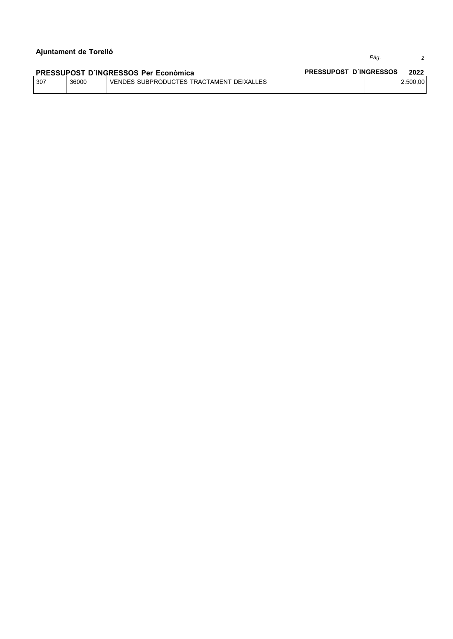Pàg.

 $\overline{c}$ 

#### PRESSUPOST D'INGRESSOS Per Econòmica PRESSUPOST D'INGRESSOS 2022 307 36000 VENDES SUBPRODUCTES TRACTAMENT DEIXALLES 2.500,00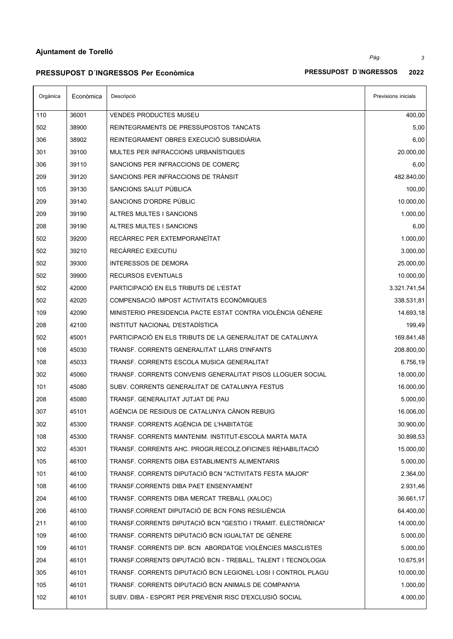**PRESSUPOST D´INGRESSOS Per Econòmica PRESSUPOST D´INGRESSOS 2022**

| RESSUPOST D´INGRESSOS | 2022 |
|-----------------------|------|
|                       |      |

| Orgànica | Econòmica | Descripció                                                   | Previsions inicials |
|----------|-----------|--------------------------------------------------------------|---------------------|
| 110      | 36001     | VENDES PRODUCTES MUSEU                                       | 400,00              |
| 502      | 38900     | REINTEGRAMENTS DE PRESSUPOSTOS TANCATS                       | 5,00                |
| 306      | 38902     | REINTEGRAMENT OBRES EXECUCIÓ SUBSIDIÀRIA                     | 6,00                |
| 301      | 39100     | MULTES PER INFRACCIONS URBANISTIQUES                         | 20.000,00           |
| 306      | 39110     | SANCIONS PER INFRACCIONS DE COMERÇ                           | 6,00                |
| 209      | 39120     | SANCIONS PER INFRACCIONS DE TRANSIT                          | 482.840,00          |
| 105      | 39130     | SANCIONS SALUT PÚBLICA                                       | 100,00              |
| 209      | 39140     | SANCIONS D'ORDRE PÚBLIC                                      | 10.000,00           |
| 209      | 39190     | ALTRES MULTES I SANCIONS                                     | 1.000,00            |
| 208      | 39190     | ALTRES MULTES I SANCIONS                                     | 6,00                |
| 502      | 39200     | RECARREC PER EXTEMPORANETAT                                  | 1.000,00            |
| 502      | 39210     | RECARREC EXECUTIU                                            | 3.000,00            |
| 502      | 39300     | <b>INTERESSOS DE DEMORA</b>                                  | 25.000,00           |
| 502      | 39900     | <b>RECURSOS EVENTUALS</b>                                    | 10.000,00           |
| 502      | 42000     | PARTICIPACIÓ EN ELS TRIBUTS DE L'ESTAT                       | 3.321.741,54        |
| 502      | 42020     | COMPENSACIÓ IMPOST ACTIVITATS ECONÒMIQUES                    | 338.531,81          |
| 109      | 42090     | MINISTERIO PRESIDENCIA PACTE ESTAT CONTRA VIOLÈNCIA GÈNERE   | 14.693,18           |
| 208      | 42100     | INSTITUT NACIONAL D'ESTADÍSTICA                              | 199,49              |
| 502      | 45001     | PARTICIPACIÓ EN ELS TRIBUTS DE LA GENERALITAT DE CATALUNYA   | 169.841,48          |
| 108      | 45030     | TRANSF. CORRENTS GENERALITAT LLARS D'INFANTS                 | 208.800,00          |
| 108      | 45033     | TRANSF. CORRENTS ESCOLA MUSICA GENERALITAT                   | 6.756,19            |
| 302      | 45060     | TRANSF. CORRENTS CONVENIS GENERALITAT PISOS LLOGUER SOCIAL   | 18.000,00           |
| 101      | 45080     | SUBV. CORRENTS GENERALITAT DE CATALUNYA FESTUS               | 16.000,00           |
| 208      | 45080     | TRANSF. GENERALITAT JUTJAT DE PAU                            | 5.000,00            |
| 307      | 45101     | AGÉNCIA DE RESIDUS DE CATALUNYA CÁNON REBUIG                 | 16.006,00           |
| 302      | 45300     | TRANSF. CORRENTS AGÈNCIA DE L'HABITATGE                      | 30.900,00           |
| 108      | 45300     | TRANSF, CORRENTS MANTENIM, INSTITUT-ESCOLA MARTA MATA        | 30.898,53           |
| 302      | 45301     | TRANSF. CORRENTS AHC. PROGR.RECOLZ.OFICINES REHABILITACIÓ    | 15.000,00           |
| 105      | 46100     | TRANSF. CORRENTS DIBA ESTABLIMENTS ALIMENTARIS               | 5.000,00            |
| 101      | 46100     | TRANSF. CORRENTS DIPUTACIÓ BCN "ACTIVITATS FESTA MAJOR"      | 2.364,00            |
| 108      | 46100     | TRANSF.CORRENTS DIBA PAET ENSENYAMENT                        | 2.931,46            |
| 204      | 46100     | TRANSF. CORRENTS DIBA MERCAT TREBALL (XALOC)                 | 36.661,17           |
| 206      | 46100     | TRANSF.CORRENT DIPUTACIÓ DE BCN FONS RESILIÈNCIA             | 64.400,00           |
| 211      | 46100     | TRANSF.CORRENTS DIPUTACIÓ BCN "GESTIO I TRAMIT. ELECTRÒNICA" | 14.000,00           |
| 109      | 46100     | TRANSF. CORRENTS DIPUTACIÓ BCN IGUALTAT DE GÈNERE            | 5.000,00            |
| 109      | 46101     | TRANSF. CORRENTS DIP. BCN ABORDATGE VIOLÈNCIES MASCLISTES    | 5.000,00            |
| 204      | 46101     | TRANSF.CORRENTS DIPUTACIÓ BCN - TREBALL, TALENT I TECNOLOGIA | 10.675,91           |
| 305      | 46101     | TRANSF. CORRENTS DIPUTACIÓ BCN LEGIONEL LOSI I CONTROL PLAGU | 10.000,00           |
| 105      | 46101     | TRANSF. CORRENTS DIPUTACIÓ BCN ANIMALS DE COMPANYIA          | 1.000,00            |
| 102      | 46101     | SUBV. DIBA - ESPORT PER PREVENIR RISC D'EXCLUSIÓ SOCIAL      | 4.000,00            |

*Pàg. 3*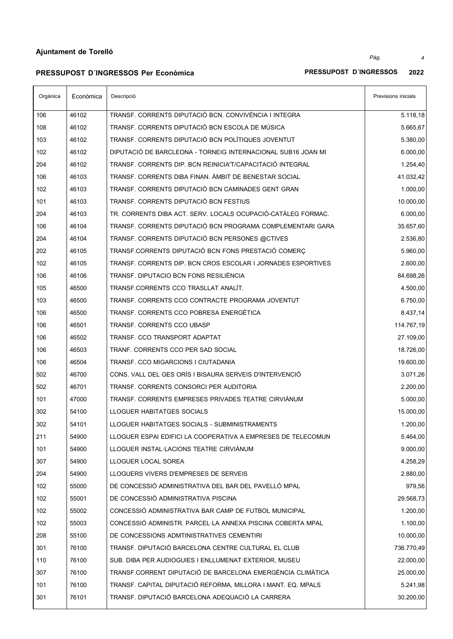## **PRESSUPOST D´INGRESSOS Per Econòmica PRESSUPOST D´INGRESSOS 2022**

| Orgànica | Econòmica | Descripció                                                   | Previsions inicials |
|----------|-----------|--------------------------------------------------------------|---------------------|
| 106      | 46102     | TRANSF. CORRENTS DIPUTACIÓ BCN. CONVIVÈNCIA I INTEGRA        | 5.118,18            |
| 108      | 46102     | TRANSF. CORRENTS DIPUTACIÓ BCN ESCOLA DE MÚSICA              | 5.665,67            |
| 103      | 46102     | TRANSF. CORRENTS DIPUTACIÓ BCN POLÍTIQUES JOVENTUT           | 5.380,00            |
| 102      | 46102     | DIPUTACIÓ DE BARCLEONA - TORNEIG INTERNACIONAL SUB16 JOAN MI | 6.000,00            |
| 204      | 46102     | TRANSF. CORRENTS DIP. BCN REINICIA'T/CAPACITACIÓ INTEGRAL    | 1.254,40            |
| 106      | 46103     | TRANSF. CORRENTS DIBA FINAN. AMBIT DE BENESTAR SOCIAL        | 41.032,42           |
| 102      | 46103     | TRANSF. CORRENTS DIPUTACIÓ BCN CAMINADES GENT GRAN           | 1.000,00            |
| 101      | 46103     | TRANSF. CORRENTS DIPUTACIÓ BCN FESTIUS                       | 10.000,00           |
| 204      | 46103     | TR. CORRENTS DIBA ACT. SERV. LOCALS OCUPACIÓ-CATÀLEG FORMAC. | 6.000,00            |
| 106      | 46104     | TRANSF. CORRENTS DIPUTACIÓ BCN PROGRAMA COMPLEMENTARI GARA   | 35.657,60           |
| 204      | 46104     | TRANSF. CORRENTS DIPUTACIÓ BCN PERSONES @CTIVES              | 2.536,80            |
| 202      | 46105     | TRANSF.CORRENTS DIPUTACIÓ BCN FONS PRESTACIÓ COMERC          | 5.960,00            |
| 102      | 46105     | TRANSF. CORRENTS DIP. BCN CROS ESCOLAR I JORNADES ESPORTIVES | 2.600,00            |
| 106      | 46106     | TRANSF. DIPUTACIO BCN FONS RESILIENCIA                       | 84.698,26           |
| 105      | 46500     | TRANSF.CORRENTS CCO TRASLLAT ANALÍT.                         | 4.500,00            |
| 103      | 46500     | TRANSF. CORRENTS CCO CONTRACTE PROGRAMA JOVENTUT             | 6.750,00            |
| 106      | 46500     | TRANSF. CORRENTS CCO POBRESA ENERGÉTICA                      | 8.437,14            |
| 106      | 46501     | TRANSF. CORRENTS CCO UBASP                                   | 114.767,19          |
| 106      | 46502     | TRANSF. CCO TRANSPORT ADAPTAT                                | 27.109,00           |
| 106      | 46503     | TRANF. CORRENTS CCO PER SAD SOCIAL                           | 18.726,00           |
| 106      | 46504     | TRANSF. CCO MIGARCIONS I CIUTADANIA                          | 19.600,00           |
| 502      | 46700     | CONS. VALL DEL GES ORÍS I BISAURA SERVEIS D'INTERVENCIÓ      | 3.071,26            |
| 502      | 46701     | TRANSF. CORRENTS CONSORCI PER AUDITORIA                      | 2.200,00            |
| 101      | 47000     | TRANSF. CORRENTS EMPRESES PRIVADES TEATRE CIRVIANUM          | 5.000,00            |
| 302      | 54100     | LLOGUER HABITATGES SOCIALS                                   | 15.000,00           |
| 302      | 54101     | LLOGUER HABITATGES SOCIALS - SUBMINISTRAMENTS                | 1.200,00            |
| 211      | 54900     | LLOGUER ESPAI EDIFICI LA COOPERATIVA A EMPRESES DE TELECOMUN | 5.464,00            |
| 101      | 54900     | LLOGUER INSTAL·LACIONS TEATRE CIRVIANUM                      | 9.000,00            |
| 307      | 54900     | LLOGUER LOCAL SOREA                                          | 4.258,29            |
| 204      | 54900     | LLOGUERS VIVERS D'EMPRESES DE SERVEIS                        | 2.880,00            |
| 102      | 55000     | DE CONCESSIÓ ADMINISTRATIVA DEL BAR DEL PAVELLÓ MPAL         | 979,56              |
| 102      | 55001     | DE CONCESSIÓ ADMINISTRATIVA PISCINA                          | 29.568,73           |
| 102      | 55002     | CONCESSIÓ ADMINISTRATIVA BAR CAMP DE FUTBOL MUNICIPAL        | 1.200,00            |
| 102      | 55003     | CONCESSIÓ ADMINISTR. PARCEL·LA ANNEXA PISCINA COBERTA MPAL   | 1.100,00            |
| 208      | 55100     | DE CONCESSIONS ADMTINISTRATIVES CEMENTIRI                    | 10.000,00           |
| 301      | 76100     | TRANSF. DIPUTACIÓ BARCELONA CENTRE CULTURAL EL CLUB          | 736.770,49          |
| 110      | 76100     | SUB. DIBA PER AUDIOGUIES I ENLLUMENAT EXTERIOR, MUSEU        | 22.000,00           |
| 307      | 76100     | TRANSF.CORRENT DIPUTACIÓ DE BARCELONA EMERGÈNCIA CLIMÀTICA   | 25.000,00           |
| 101      | 76100     | TRANSF. CAPITAL DIPUTACIÓ REFORMA, MILLORA I MANT. EQ. MPALS | 5.241,98            |
| 301      | 76101     | TRANSF. DIPUTACIÓ BARCELONA ADEQUACIÓ LA CARRERA             | 30.200,00           |

*Pàg. 4*